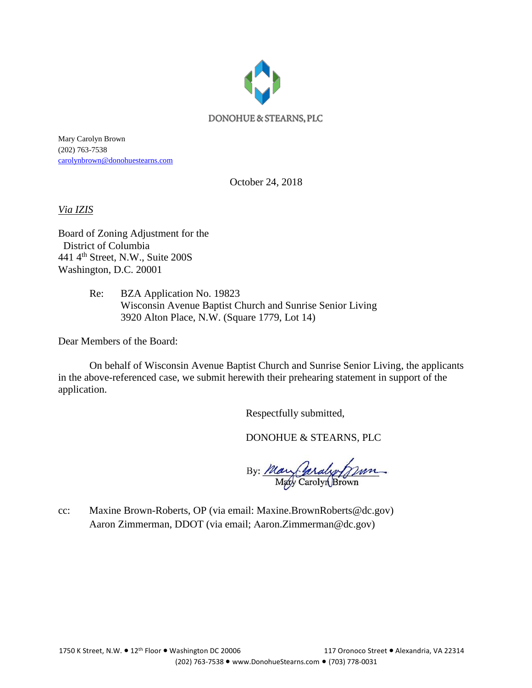

Mary Carolyn Brown (202) 763-7538 [carolynbrown@donohuestearns.com](mailto:carolynbrown@donohuestearns.com)

October 24, 2018

*Via IZIS*

Board of Zoning Adjustment for the District of Columbia 441 4th Street, N.W., Suite 200S Washington, D.C. 20001

> Re: BZA Application No. 19823 Wisconsin Avenue Baptist Church and Sunrise Senior Living 3920 Alton Place, N.W. (Square 1779, Lot 14)

Dear Members of the Board:

On behalf of Wisconsin Avenue Baptist Church and Sunrise Senior Living, the applicants in the above-referenced case, we submit herewith their prehearing statement in support of the application.

Respectfully submitted,

DONOHUE & STEARNS, PLC

By: May Caraly Jann

cc: Maxine Brown-Roberts, OP (via email: Maxine.BrownRoberts@dc.gov) Aaron Zimmerman, DDOT (via email; Aaron.Zimmerman@dc.gov)